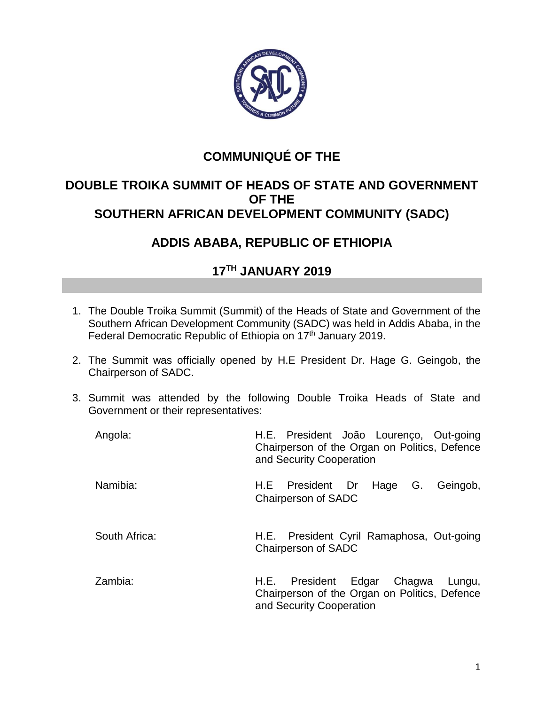

## **COMMUNIQUÉ OF THE**

## **DOUBLE TROIKA SUMMIT OF HEADS OF STATE AND GOVERNMENT OF THE SOUTHERN AFRICAN DEVELOPMENT COMMUNITY (SADC)**

## **ADDIS ABABA, REPUBLIC OF ETHIOPIA**

## **17TH JANUARY 2019**

- 1. The Double Troika Summit (Summit) of the Heads of State and Government of the Southern African Development Community (SADC) was held in Addis Ababa, in the Federal Democratic Republic of Ethiopia on 17<sup>th</sup> January 2019.
- 2. The Summit was officially opened by H.E President Dr. Hage G. Geingob, the Chairperson of SADC.
- 3. Summit was attended by the following Double Troika Heads of State and Government or their representatives:

| Angola:       | H.E. President João Lourenço, Out-going<br>Chairperson of the Organ on Politics, Defence<br>and Security Cooperation  |
|---------------|-----------------------------------------------------------------------------------------------------------------------|
| Namibia:      | H.E President Dr Hage<br>Geingob,<br>G.<br><b>Chairperson of SADC</b>                                                 |
| South Africa: | H.E. President Cyril Ramaphosa, Out-going<br><b>Chairperson of SADC</b>                                               |
| Zambia:       | President Edgar Chagwa<br>H.E.<br>Lungu,<br>Chairperson of the Organ on Politics, Defence<br>and Security Cooperation |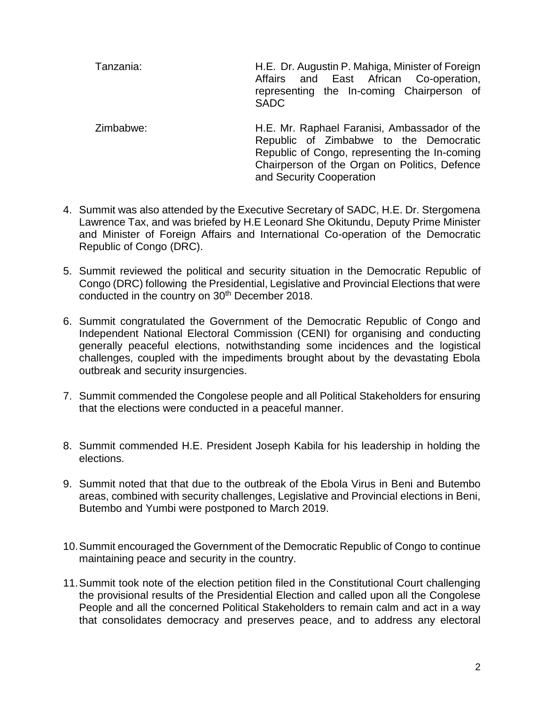Tanzania: H.E. Dr. Augustin P. Mahiga, Minister of Foreign Affairs and East African Co-operation, representing the In-coming Chairperson of SADC

Zimbabwe: H.E. Mr. Raphael Faranisi, Ambassador of the Republic of Zimbabwe to the Democratic Republic of Congo, representing the In-coming Chairperson of the Organ on Politics, Defence and Security Cooperation

- 4. Summit was also attended by the Executive Secretary of SADC, H.E. Dr. Stergomena Lawrence Tax, and was briefed by H.E Leonard She Okitundu, Deputy Prime Minister and Minister of Foreign Affairs and International Co-operation of the Democratic Republic of Congo (DRC).
- 5. Summit reviewed the political and security situation in the Democratic Republic of Congo (DRC) following the Presidential, Legislative and Provincial Elections that were conducted in the country on 30<sup>th</sup> December 2018.
- 6. Summit congratulated the Government of the Democratic Republic of Congo and Independent National Electoral Commission (CENI) for organising and conducting generally peaceful elections, notwithstanding some incidences and the logistical challenges, coupled with the impediments brought about by the devastating Ebola outbreak and security insurgencies.
- 7. Summit commended the Congolese people and all Political Stakeholders for ensuring that the elections were conducted in a peaceful manner.
- 8. Summit commended H.E. President Joseph Kabila for his leadership in holding the elections.
- 9. Summit noted that that due to the outbreak of the Ebola Virus in Beni and Butembo areas, combined with security challenges, Legislative and Provincial elections in Beni, Butembo and Yumbi were postponed to March 2019.
- 10.Summit encouraged the Government of the Democratic Republic of Congo to continue maintaining peace and security in the country.
- 11.Summit took note of the election petition filed in the Constitutional Court challenging the provisional results of the Presidential Election and called upon all the Congolese People and all the concerned Political Stakeholders to remain calm and act in a way that consolidates democracy and preserves peace, and to address any electoral